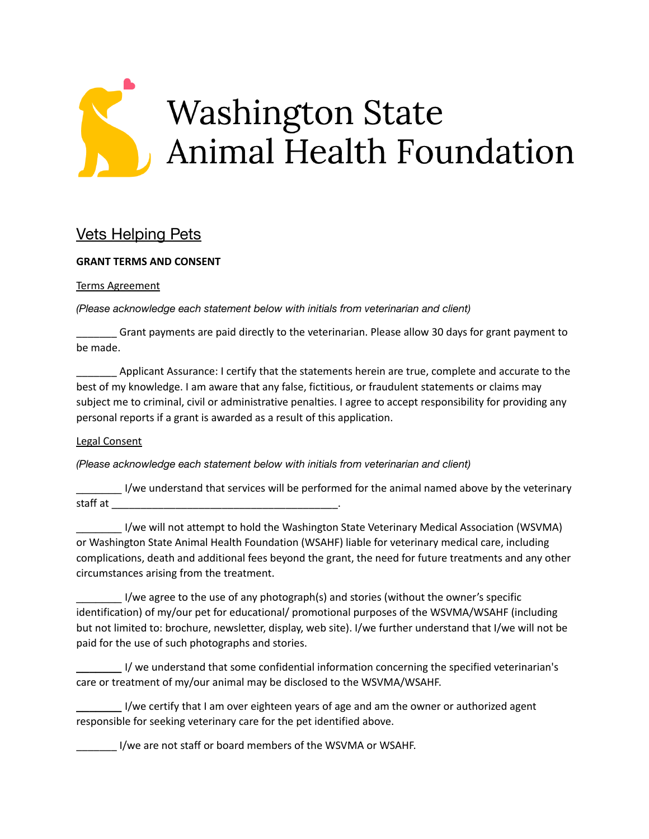

## Vets Helping Pets

## **GRANT TERMS AND CONSENT**

## Terms Agreement

*(Please acknowledge each statement below with initials from veterinarian and client)*

\_\_\_\_\_\_\_ Grant payments are paid directly to the veterinarian. Please allow 30 days for grant payment to be made.

\_\_\_\_\_\_\_ Applicant Assurance: I certify that the statements herein are true, complete and accurate to the best of my knowledge. I am aware that any false, fictitious, or fraudulent statements or claims may subject me to criminal, civil or administrative penalties. I agree to accept responsibility for providing any personal reports if a grant is awarded as a result of this application.

## Legal Consent

*(Please acknowledge each statement below with initials from veterinarian and client)*

\_\_\_\_\_\_\_ I/we understand that services will be performed for the animal named above by the veterinary staff at \_\_\_\_\_\_\_\_\_\_\_\_\_\_\_\_\_\_\_\_\_\_\_\_\_\_\_\_\_\_\_\_\_\_\_\_\_\_\_.

I/we will not attempt to hold the Washington State Veterinary Medical Association (WSVMA) or Washington State Animal Health Foundation (WSAHF) liable for veterinary medical care, including complications, death and additional fees beyond the grant, the need for future treatments and any other circumstances arising from the treatment.

I/we agree to the use of any photograph(s) and stories (without the owner's specific identification) of my/our pet for educational/ promotional purposes of the WSVMA/WSAHF (including but not limited to: brochure, newsletter, display, web site). I/we further understand that I/we will not be paid for the use of such photographs and stories.

**\_\_\_\_\_\_\_** I/ we understand that some confidential information concerning the specified veterinarian's care or treatment of my/our animal may be disclosed to the WSVMA/WSAHF.

**\_\_\_\_\_\_\_** I/we certify that I am over eighteen years of age and am the owner or authorized agent responsible for seeking veterinary care for the pet identified above.

\_\_\_\_\_\_\_ I/we are not staff or board members of the WSVMA or WSAHF.